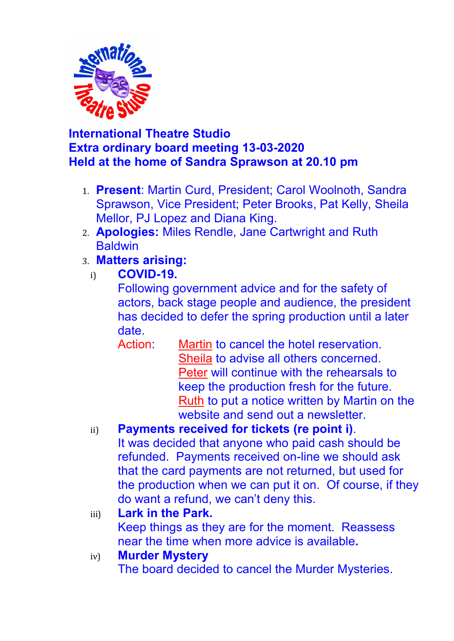

## **International Theatre Studio Extra ordinary board meeting 13-03-2020 Held at the home of Sandra Sprawson at 20.10 pm**

- 1. **Present**: Martin Curd, President; Carol Woolnoth, Sandra Sprawson, Vice President; Peter Brooks, Pat Kelly, Sheila Mellor, PJ Lopez and Diana King.
- 2. **Apologies:** Miles Rendle, Jane Cartwright and Ruth **Baldwin**
- 3. **Matters arising:**
- i) **COVID-19.**

Following government advice and for the safety of actors, back stage people and audience, the president has decided to defer the spring production until a later date.

Action: Martin to cancel the hotel reservation. Sheila to advise all others concerned. Peter will continue with the rehearsals to keep the production fresh for the future. Ruth to put a notice written by Martin on the website and send out a newsletter.

## ii) **Payments received for tickets (re point i)**.

It was decided that anyone who paid cash should be refunded.Payments received on-line we should ask that the card payments are not returned, but used for the production when we can put it on. Of course, if they do want a refund, we can't deny this.

### iii) **Lark in the Park.**

Keep things as they are for the moment. Reassess near the time when more advice is available**.** 

### iv) **Murder Mystery**

The board decided to cancel the Murder Mysteries.